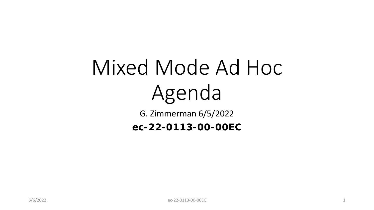# Mixed Mode Ad Hoc Agenda

G. Zimmerman 6/5/2022

**ec-22-0113-00-00EC**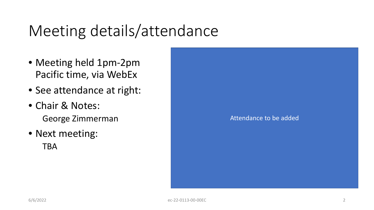## Meeting details/attendance

- Meeting held 1pm-2pm Pacific time, via WebEx
- See attendance at right:
- Chair & Notes: George Zimmerman
- Next meeting: TBA

Attendance to be added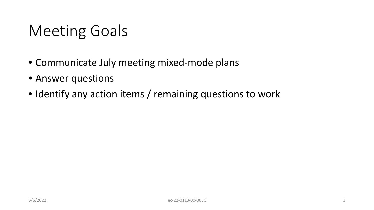## Meeting Goals

- Communicate July meeting mixed-mode plans
- Answer questions
- Identify any action items / remaining questions to work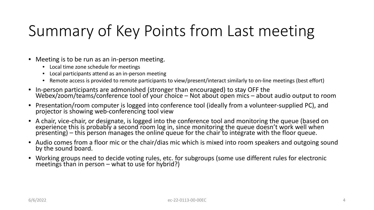# Summary of Key Points from Last meeting

- Meeting is to be run as an in-person meeting.
	- Local time zone schedule for meetings
	- Local participants attend as an in-person meeting
	- Remote access is provided to remote participants to view/present/interact similarly to on-line meetings (best effort)
- In-person participants are admonished (stronger than encouraged) to stay OFF the Webex/zoom/teams/conference tool of your choice Not about open mics about audio output to room
- Presentation/room computer is logged into conference tool (ideally from a volunteer-supplied PC), and projector is showing web-conferencing tool view
- A chair, vice-chair, or designate, is logged into the conference tool and monitoring the queue (based on experience this is probably a second room log in, since monitoring the queue doesn't work well when presenting) – this person manages the online queue for the chair to integrate with the floor queue.
- Audio comes from a floor mic or the chair/dias mic which is mixed into room speakers and outgoing sound by the sound board.
- Working groups need to decide voting rules, etc. for subgroups (some use different rules for electronic meetings than in person – what to use for hybrid?)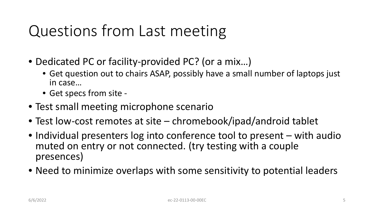## Questions from Last meeting

- Dedicated PC or facility-provided PC? (or a mix…)
	- Get question out to chairs ASAP, possibly have a small number of laptops just in case…
	- Get specs from site -
- Test small meeting microphone scenario
- Test low-cost remotes at site chromebook/ipad/android tablet
- Individual presenters log into conference tool to present with audio muted on entry or not connected. (try testing with a couple presences)
- Need to minimize overlaps with some sensitivity to potential leaders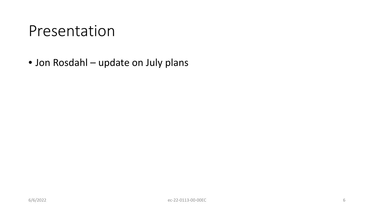### Presentation

• Jon Rosdahl – update on July plans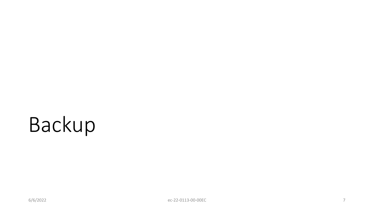# Backup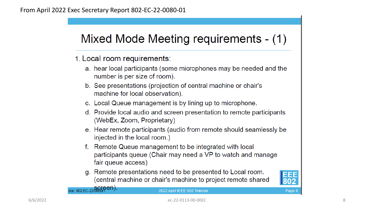#### Mixed Mode Meeting requirements - (1)

- 1. Local room requirements:
	- a. hear local participants (some microphones may be needed and the number is per size of room).
	- b. See presentations (projection of central machine or chair's machine for local observation).
	- c. Local Queue management is by lining up to microphone.
	- d. Provide local audio and screen presentation to remote participants (WebEx, Zoom, Proprietary)
	- e. Hear remote participants (audio from remote should seamlessly be injected in the local room.)
	- f. Remote Queue management to be integrated with local participants queue (Chair may need a VP to watch and manage fair queue access)
	- g. Remote presentations need to be presented to Local room. (central machine or chair's machine to project remote shared



Page 8

doc: 802 EC-22/0080rPen).

2022 April IEEE 802 Telecon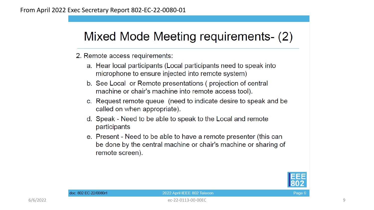### Mixed Mode Meeting requirements- (2)

2. Remote access requirements:

- a. Hear local participants (Local participants need to speak into microphone to ensure injected into remote system)
- b. See Local or Remote presentations (projection of central machine or chair's machine into remote access tool).
- c. Request remote queue (need to indicate desire to speak and be called on when appropriate).
- d. Speak Need to be able to speak to the Local and remote participants
- e. Present Need to be able to have a remote presenter (this can be done by the central machine or chair's machine or sharing of remote screen).



#### 2022 April IEEE 802 Telecon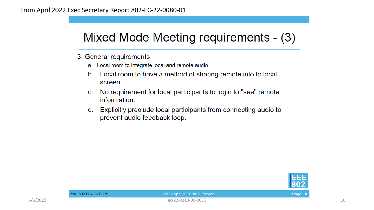### Mixed Mode Meeting requirements - (3)

- 3. General requirements
	- a. Local room to integrate local and remote audio
	- Local room to have a method of sharing remote info to local  $b<sub>1</sub>$ screen
	- No requirement for local participants to login to "see" remote  $C<sub>1</sub>$ information.
	- Explicitly preclude local participants from connecting audio to d. prevent audio feedback loop.



Page 10